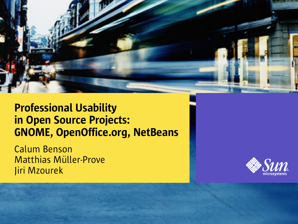

#### Professional Usability in Open Source Projects: GNOME, OpenOffice.org, NetBeans

Calum Benson Matthias Müller-Prove Jiri Mzourek

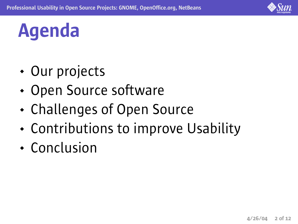

### Agenda

- Our projects
- Open Source software
- Challenges of Open Source
- Contributions to improve Usability
- Conclusion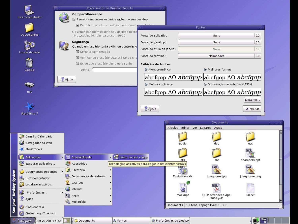|                | Este computador                                                                                                                                                                     |                                         | Compartilhamento<br>Permitir que outros usuários exibam o seu desktop<br>Permitir que outros usuários controlem o                                                                                                                                                              | Preferências do Desktop Remoto                                                     |                                                                                                                                      |                                                                        |                                                                                                                           |                                                          |  |
|----------------|-------------------------------------------------------------------------------------------------------------------------------------------------------------------------------------|-----------------------------------------|--------------------------------------------------------------------------------------------------------------------------------------------------------------------------------------------------------------------------------------------------------------------------------|------------------------------------------------------------------------------------|--------------------------------------------------------------------------------------------------------------------------------------|------------------------------------------------------------------------|---------------------------------------------------------------------------------------------------------------------------|----------------------------------------------------------|--|
|                | Documentos<br>Locais de rede<br>Lixeira                                                                                                                                             | 2 Ajuda                                 | Os usuários podem exibir o seu desktop neste<br>http://cdelab89.ireland.sun.com:5800<br>Segurança<br>Quando um usuário tenta exibir ou controlar o<br>Solicitar confirmação<br>Verificar se o usuário está utilizando crip<br>Exige que o usuário digite esta senha:<br>Senha: |                                                                                    | Fonte do aplicativo:<br>Fonte do desktop:<br>Fonte do título da janela:<br>Fonte do terminal:<br>Exibição de fontes<br>Monocromático |                                                                        | Fontes<br>Sans<br>Sans<br>Sans<br>Monospace<br>Melhores formas<br>abcfgop AO a <i>bcfgop</i>   abcfgop AO a <i>bcfgop</i> | 10<br>10<br>10<br>10                                     |  |
|                | net<br>StarOffice 7                                                                                                                                                                 |                                         |                                                                                                                                                                                                                                                                                |                                                                                    | Melhor contraste<br>2 Ajuda                                                                                                          | Arquivo Editar Ver Lugares Ajuda                                       | Suavização de subpixel (LCDs)<br>abcfgop AO a <i>bcfgop</i>   abcfgop AO a <i>bcfgop</i>  <br>Documents                   | Detalhes<br><b>X</b> Fechar                              |  |
| top System     | E-mail e Calendário<br>Navegador da Web<br>StarOffice 7<br>Aplicações<br>Executar aplicativo<br><b>Documentos Recentes</b><br>Este computador<br>Localizar arquivos<br>Preferências | $\cdot$ 3<br>圃<br>$\blacktriangleright$ | Acessibilidade<br>Acessórios<br>Escritório<br>Ferramentas de sistema<br>Gráficos<br>$\blacksquare$ Internet<br>$\bigoplus$ jogos                                                                                                                                               | E Leitor de tela e lupa<br>Tecnologias assistivas para cegos e deficientes visuais |                                                                                                                                      | audio<br><b>afx</b><br><b>ALS IN</b><br>Evaluation.xls<br>2<br>mockups | src<br>jds-gnome.jpg<br><b>PDF</b><br>A<br>Quiz-attendees-Apr-                                                            | etc<br>PPT  <br>champers.ppt<br>jds-gnome.png<br>url.txt |  |
| Sun Java" Desk | Ajuda<br><b>Bloquear tela</b><br>Efetuar logoff de root<br>Ter 20 Abr, 16:32<br>Lançar                                                                                              |                                         | Multimídia<br><b>Documents</b>                                                                                                                                                                                                                                                 | <b>A</b> Fontes                                                                    |                                                                                                                                      | Preferências do Desktoj                                                | 2004.pdf<br>Documents   13 itens, Espaço livre: 1,5 GB                                                                    | io 21                                                    |  |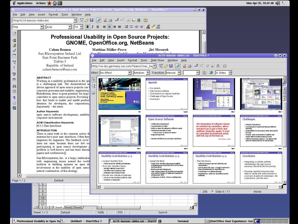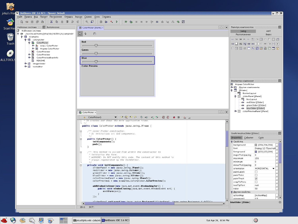

lirka@jirka-nb:~/ide/nb SNetBeans IDE 3.6 RC1

 $\circ$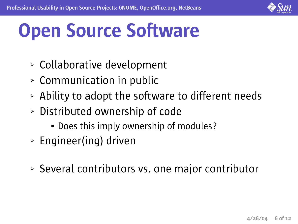

# Open Source Software

- ➢ Collaborative development
- $\geq$  Communication in public
- $\geq$  Ability to adopt the software to different needs
- ➢ Distributed ownership of code
	- Does this imply ownership of modules?
- ➢ Engineer(ing) driven
- ➢ Several contributors vs. one major contributor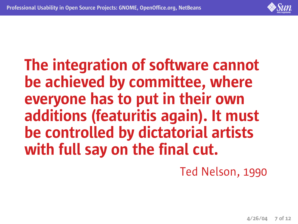

#### The integration of software cannot be achieved by committee, where everyone has to put in their own additions (featuritis again). It must be controlled by dictatorial artists with full say on the final cut.

Ted Nelson, 1990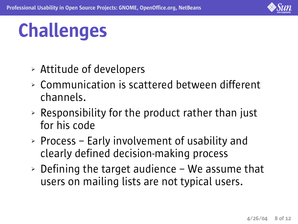

## Challenges

- ➢ Attitude of developers
- ➢ Communication is scattered between different channels.
- $\geq$  Responsibility for the product rather than just for his code
- ➢ Process Early involvement of usability and clearly defined decision-making process
- $\geq$  Defining the target audience We assume that users on mailing lists are not typical users.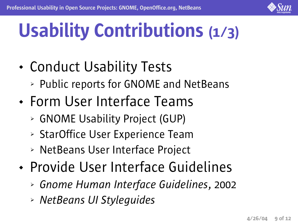

# Usability Contributions (1/3)

- Conduct Usability Tests
	- ➢ Public reports for GNOME and NetBeans
- Form User Interface Teams
	- ➢ GNOME Usability Project (GUP)
	- ➢ StarOffice User Experience Team
	- ➢ NetBeans User Interface Project
- Provide User Interface Guidelines
	- ➢ *Gnome Human Interface Guidelines*, 2002
	- ➢ *NetBeans UI Styleguides*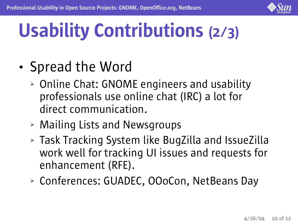

# Usability Contributions (2/3)

#### • Spread the Word

- ➢ Online Chat: GNOME engineers and usability professionals use online chat (IRC) a lot for direct communication.
- ➢ Mailing Lists and Newsgroups
- ➢ Task Tracking System like BugZilla and IssueZilla work well for tracking UI issues and requests for enhancement (RFE).
- ➢ Conferences: GUADEC, OOoCon, NetBeans Day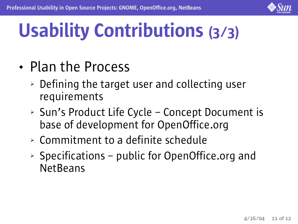

# Usability Contributions (3/3)

- Plan the Process
	- ➢ Defining the target user and collecting user requirements
	- ➢ Sun's Product Life Cycle Concept Document is base of development for OpenOffice.org
	- ➢ Commitment to a definite schedule
	- $\geq$  Specifications public for OpenOffice.org and **NetBeans**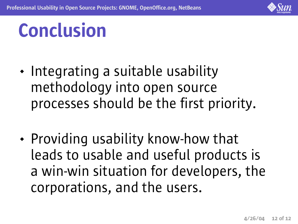

### Conclusion

- Integrating a suitable usability methodology into open source processes should be the first priority.
- Providing usability know-how that leads to usable and useful products is a win-win situation for developers, the corporations, and the users.